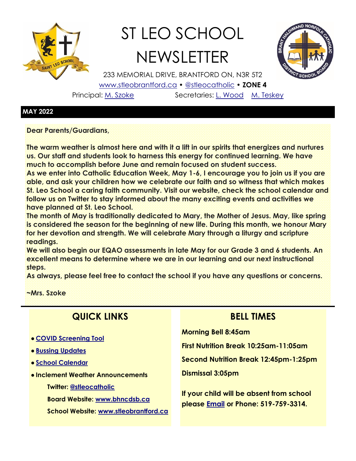

# ST LEO SCHOOL **NEWSLETTER**



233 MEMORIAL DRIVE, BRANTFORD ON, N3R 5T2 [www.stleobrantford.ca](http://www.stleobrantford.ca) • [@stleocatholic](https://twitter.com/stleocatholic) • **ZONE 4**

Principal: [M. Szoke](mailto:mszoke@bhncdsb.ca) Secretaries: [L. Wood](mailto:lwood@bhncdsb.ca) [M. Teskey](mailto:mteskey@bhncdsb.ca)

#### **MAY 2022**

**Dear Parents/Guardians,**

**The warm weather is almost here and with it a lift in our spirits that energizes and nurtures us. Our staff and students look to harness this energy for continued learning. We have much to accomplish before June and remain focused on student success.**

**As we enter into Catholic Education Week, May 1-6, I encourage you to join us if you are able, and ask your children how we celebrate our faith and so witness that which makes St. Leo School a caring faith community. Visit our website, check the school calendar and follow us on Twitter to stay informed about the many exciting events and activities we have planned at St. Leo School.**

**The month of May is traditionally dedicated to Mary, the Mother of Jesus. May, like spring is considered the season for the beginning of new life. During this month, we honour Mary for her devotion and strength. We will celebrate Mary through a liturgy and scripture readings.**

**We will also begin our EQAO assessments in late May for our Grade 3 and 6 students. An excellent means to determine where we are in our learning and our next instructional steps.** 

**As always, please feel free to contact the school if you have any questions or concerns.**

**~Mrs. Szoke**

## **QUICK LINKS**

- **[COVID Screening Tool](https://covid-19.ontario.ca/school-screening/)**
- **[Bussing Updates](http://www.stsbhn.ca/)**
- **[School Calendar](http://www.stleobrantford.ca/events-calendar)**
- **Inclement Weather Announcements**
	- **Twitter: [@stleocatholic](https://twitter.com/stleocatholic)**
	- **Board Website: [www.bhncdsb.ca](http://www.bhncdsb.ca/)**

**School Website: [www.stleobrantford.ca](http://www.stleobrantford.ca)**

## **BELL TIMES**

**Morning Bell 8:45am**

**First Nutrition Break 10:25am-11:05am Second Nutrition Break 12:45pm-1:25pm**

**Dismissal 3:05pm**

**If your child will be absent from school please [Email](mailto:lwood@bhncdsb.ca,%20mteskey@bhncdsb.ca?subject=Attendance) or Phone: 519-759-3314.**